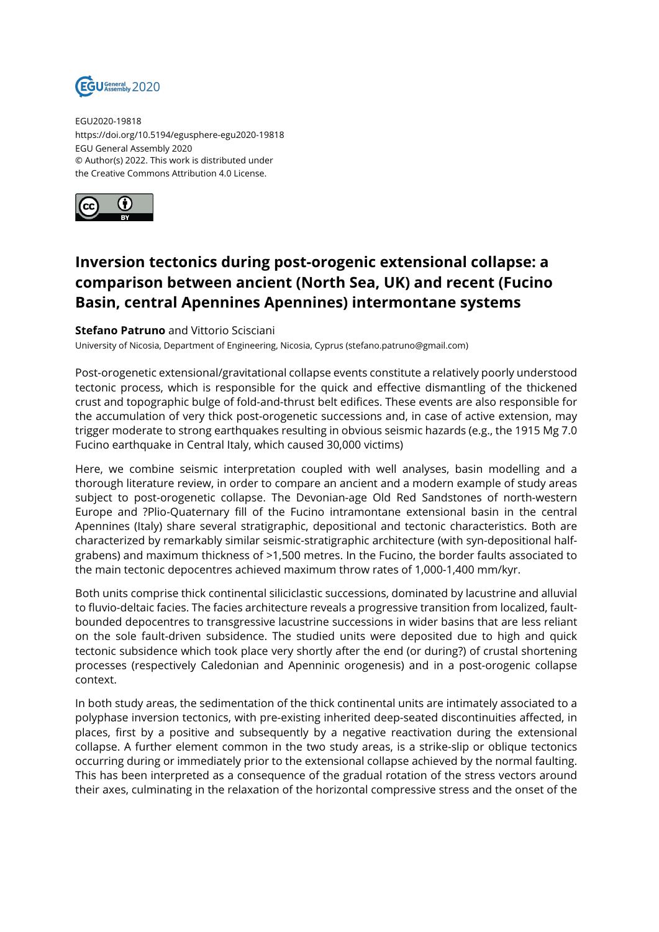

EGU2020-19818 https://doi.org/10.5194/egusphere-egu2020-19818 EGU General Assembly 2020 © Author(s) 2022. This work is distributed under the Creative Commons Attribution 4.0 License.



## **Inversion tectonics during post-orogenic extensional collapse: a comparison between ancient (North Sea, UK) and recent (Fucino Basin, central Apennines Apennines) intermontane systems**

## **Stefano Patruno** and Vittorio Scisciani

University of Nicosia, Department of Engineering, Nicosia, Cyprus (stefano.patruno@gmail.com)

Post-orogenetic extensional/gravitational collapse events constitute a relatively poorly understood tectonic process, which is responsible for the quick and effective dismantling of the thickened crust and topographic bulge of fold-and-thrust belt edifices. These events are also responsible for the accumulation of very thick post-orogenetic successions and, in case of active extension, may trigger moderate to strong earthquakes resulting in obvious seismic hazards (e.g., the 1915 Mg 7.0 Fucino earthquake in Central Italy, which caused 30,000 victims)

Here, we combine seismic interpretation coupled with well analyses, basin modelling and a thorough literature review, in order to compare an ancient and a modern example of study areas subject to post-orogenetic collapse. The Devonian-age Old Red Sandstones of north-western Europe and ?Plio-Quaternary fill of the Fucino intramontane extensional basin in the central Apennines (Italy) share several stratigraphic, depositional and tectonic characteristics. Both are characterized by remarkably similar seismic-stratigraphic architecture (with syn-depositional halfgrabens) and maximum thickness of >1,500 metres. In the Fucino, the border faults associated to the main tectonic depocentres achieved maximum throw rates of 1,000-1,400 mm/kyr.

Both units comprise thick continental siliciclastic successions, dominated by lacustrine and alluvial to fluvio-deltaic facies. The facies architecture reveals a progressive transition from localized, faultbounded depocentres to transgressive lacustrine successions in wider basins that are less reliant on the sole fault-driven subsidence. The studied units were deposited due to high and quick tectonic subsidence which took place very shortly after the end (or during?) of crustal shortening processes (respectively Caledonian and Apenninic orogenesis) and in a post-orogenic collapse context.

In both study areas, the sedimentation of the thick continental units are intimately associated to a polyphase inversion tectonics, with pre-existing inherited deep-seated discontinuities affected, in places, first by a positive and subsequently by a negative reactivation during the extensional collapse. A further element common in the two study areas, is a strike-slip or oblique tectonics occurring during or immediately prior to the extensional collapse achieved by the normal faulting. This has been interpreted as a consequence of the gradual rotation of the stress vectors around their axes, culminating in the relaxation of the horizontal compressive stress and the onset of the